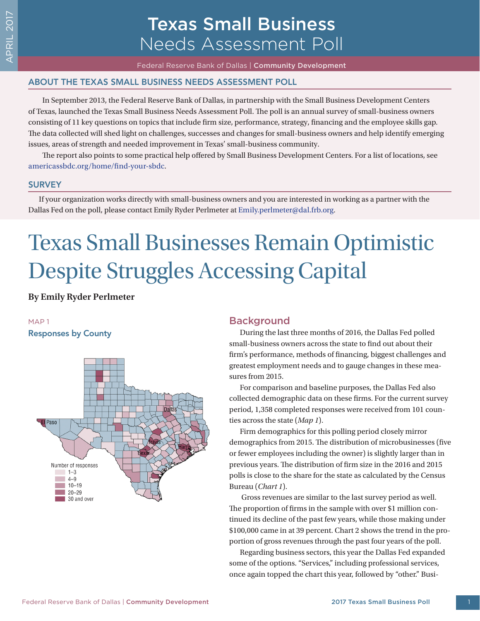# Texas Small Business Needs Assessment Poll

Federal Reserve Bank of Dallas | Community Development

# ABOUT THE TEXAS SMALL BUSINESS NEEDS ASSESSMENT POLL

In September 2013, the Federal Reserve Bank of Dallas, in partnership with the Small Business Development Centers of Texas, launched the Texas Small Business Needs Assessment Poll. The poll is an annual survey of small-business owners consisting of 11 key questions on topics that include firm size, performance, strategy, financing and the employee skills gap. The data collected will shed light on challenges, successes and changes for small-business owners and help identify emerging issues, areas of strength and needed improvement in Texas' small-business community.

The report also points to some practical help offered by Small Business Development Centers. For a list of locations, see [americassbdc.org/home/find-your-sbdc.](http://americassbdc.org/home/find-your-sbdc/)

#### **SURVEY**

If your organization works directly with small-business owners and you are interested in working as a partner with the Dallas Fed on the poll, please contact Emily Ryder Perlmeter at [Emily.perlmeter@dal.frb.org.](mailto:Emily.perlmeter@dal.frb.org)

# Texas Small Businesses Remain Optimistic Despite Struggles Accessing Capital

**By Emily Ryder Perlmeter**

#### MAP 1

#### Responses by County



# **Background**

During the last three months of 2016, the Dallas Fed polled small-business owners across the state to find out about their firm's performance, methods of financing, biggest challenges and greatest employment needs and to gauge changes in these measures from 2015.

For comparison and baseline purposes, the Dallas Fed also collected demographic data on these firms. For the current survey period, 1,358 completed responses were received from 101 counties across the state (*Map 1*).

Firm demographics for this polling period closely mirror demographics from 2015. The distribution of microbusinesses (five or fewer employees including the owner) is slightly larger than in previous years. The distribution of firm size in the 2016 and 2015 polls is close to the share for the state as calculated by the Census Bureau (*Chart 1*).

 Gross revenues are similar to the last survey period as well. The proportion of firms in the sample with over \$1 million continued its decline of the past few years, while those making under \$100,000 came in at 39 percent. Chart 2 shows the trend in the proportion of gross revenues through the past four years of the poll.

Regarding business sectors, this year the Dallas Fed expanded some of the options. "Services," including professional services, once again topped the chart this year, followed by "other." Busi-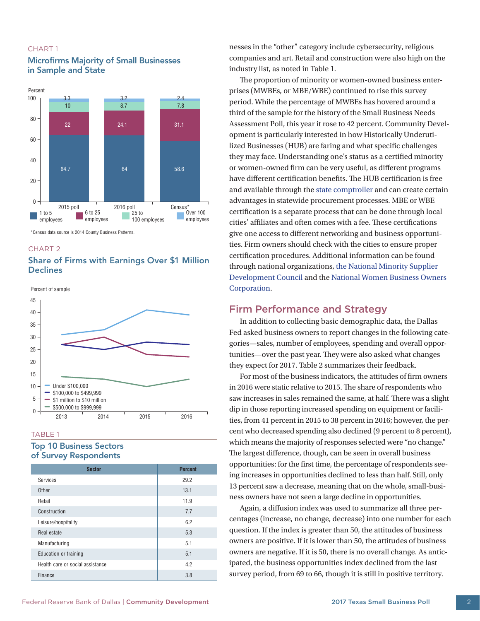#### CHART 1

#### Microfirms Majority of Small Businesses in Sample and State



\*Census data source is 2014 County Business Patterns.

#### CHART 2



Percent of sample



#### TABLE 1

## Top 10 Business Sectors of Survey Respondents

| <b>Sector</b>                    | <b>Percent</b> |
|----------------------------------|----------------|
| Services                         | 29.2           |
| Other                            | 13.1           |
| Retail                           | 11.9           |
| Construction                     | 7.7            |
| Leisure/hospitality              | 6.2            |
| Real estate                      | 5.3            |
| Manufacturing                    | 5.1            |
| Education or training            | 5.1            |
| Health care or social assistance | 4.2            |
| Finance                          | 3.8            |

nesses in the "other" category include cybersecurity, religious companies and art. Retail and construction were also high on the industry list, as noted in Table 1.

The proportion of minority or women-owned business enterprises (MWBEs, or MBE/WBE) continued to rise this survey period. While the percentage of MWBEs has hovered around a third of the sample for the history of the Small Business Needs Assessment Poll, this year it rose to 42 percent. Community Development is particularly interested in how Historically Underutilized Businesses (HUB) are faring and what specific challenges they may face. Understanding one's status as a certified minority or women-owned firm can be very useful, as different programs have different certification benefits. The HUB certification is free and available through the [state comptroller](https://comptroller.texas.gov/purchasing/vendor/hub/) and can create certain advantages in statewide procurement processes. MBE or WBE certification is a separate process that can be done through local cities' affiliates and often comes with a fee. These certifications give one access to different networking and business opportunities. Firm owners should check with the cities to ensure proper certification procedures. Additional information can be found through national organizations, the [National Minority Supplier](http://www.nmsdc.org/mbes/mbe-certification/)  [Development Council](http://www.nmsdc.org/mbes/mbe-certification/) and the [National Women Business Owners](http://www.nwboc.org)  [Corporation.](http://www.nwboc.org)

# Firm Performance and Strategy

In addition to collecting basic demographic data, the Dallas Fed asked business owners to report changes in the following categories—sales, number of employees, spending and overall opportunities—over the past year. They were also asked what changes they expect for 2017. Table 2 summarizes their feedback.

For most of the business indicators, the attitudes of firm owners in 2016 were static relative to 2015. The share of respondents who saw increases in sales remained the same, at half. There was a slight dip in those reporting increased spending on equipment or facilities, from 41 percent in 2015 to 38 percent in 2016; however, the percent who decreased spending also declined (9 percent to 8 percent), which means the majority of responses selected were "no change." The largest difference, though, can be seen in overall business opportunities: for the first time, the percentage of respondents seeing increases in opportunities declined to less than half. Still, only 13 percent saw a decrease, meaning that on the whole, small-business owners have not seen a large decline in opportunities.

Again, a diffusion index was used to summarize all three percentages (increase, no change, decrease) into one number for each question. If the index is greater than 50, the attitudes of business owners are positive. If it is lower than 50, the attitudes of business owners are negative. If it is 50, there is no overall change. As anticipated, the business opportunities index declined from the last survey period, from 69 to 66, though it is still in positive territory.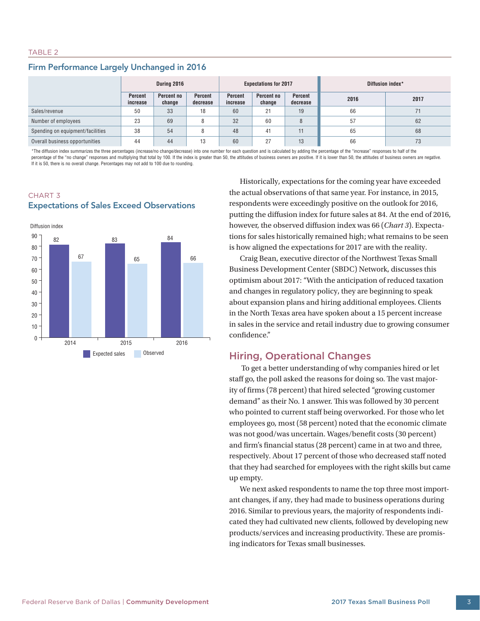#### TABLE 2

# Firm Performance Largely Unchanged in 2016

|                                  | During 2016                |                      |                     | <b>Expectations for 2017</b> |                      |                     | Diffusion index* |      |
|----------------------------------|----------------------------|----------------------|---------------------|------------------------------|----------------------|---------------------|------------------|------|
|                                  | <b>Percent</b><br>increase | Percent no<br>change | Percent<br>decrease | <b>Percent</b><br>increase   | Percent no<br>change | Percent<br>decrease | 2016             | 2017 |
| Sales/revenue                    | 50                         | 33                   | 18                  | 60                           | 21                   | 19                  | 66               |      |
| Number of employees              | 23                         | 69                   |                     | 32                           | 60                   | 8                   | 57               | 62   |
| Spending on equipment/facilities | 38                         | 54                   |                     | 48                           | 41                   | 11                  | 65               | 68   |
| Overall business opportunities   | 44                         | 44                   | 13                  | 60                           | 27                   | 13                  | 66               | 73   |

\*The diffusion index summarizes the three percentages (increase/no change/decrease) into one number for each question and is calculated by adding the percentage of the "increase" responses to half of the percentage of the "no change" responses and multiplying that total by 100. If the index is greater than 50, the attitudes of business owners are positive. If it is lower than 50, the attitudes of business owners are negati If it is 50, there is no overall change. Percentages may not add to 100 due to rounding.



# CHART 3 Expectations of Sales Exceed Observations

Historically, expectations for the coming year have exceeded the actual observations of that same year. For instance, in 2015, respondents were exceedingly positive on the outlook for 2016, putting the diffusion index for future sales at 84. At the end of 2016, however, the observed diffusion index was 66 (*Chart 3*). Expectations for sales historically remained high; what remains to be seen is how aligned the expectations for 2017 are with the reality.

Craig Bean, executive director of the Northwest Texas Small Business Development Center (SBDC) Network, discusses this optimism about 2017: "With the anticipation of reduced taxation and changes in regulatory policy, they are beginning to speak about expansion plans and hiring additional employees. Clients in the North Texas area have spoken about a 15 percent increase in sales in the service and retail industry due to growing consumer confidence."

# Hiring, Operational Changes

 To get a better understanding of why companies hired or let staff go, the poll asked the reasons for doing so. The vast majority of firms (78 percent) that hired selected "growing customer demand" as their No. 1 answer. This was followed by 30 percent who pointed to current staff being overworked. For those who let employees go, most (58 percent) noted that the economic climate was not good/was uncertain. Wages/benefit costs (30 percent) and firm's financial status (28 percent) came in at two and three, respectively. About 17 percent of those who decreased staff noted that they had searched for employees with the right skills but came up empty.

We next asked respondents to name the top three most important changes, if any, they had made to business operations during 2016. Similar to previous years, the majority of respondents indicated they had cultivated new clients, followed by developing new products/services and increasing productivity. These are promising indicators for Texas small businesses.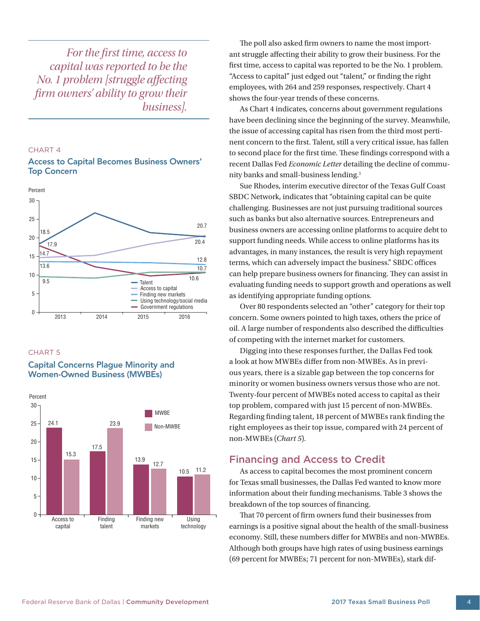*For the first time, access to capital was reported to be the No. 1 problem [struggle affecting firm owners' ability to grow their business].*

#### CHART 4

#### Access to Capital Becomes Business Owners' Top Concern



#### CHART 5

#### Capital Concerns Plague Minority and Women-Owned Business (MWBEs)



The poll also asked firm owners to name the most important struggle affecting their ability to grow their business. For the first time, access to capital was reported to be the No. 1 problem. "Access to capital" just edged out "talent," or finding the right employees, with 264 and 259 responses, respectively. Chart 4 shows the four-year trends of these concerns.

As Chart 4 indicates, concerns about government regulations have been declining since the beginning of the survey. Meanwhile, the issue of accessing capital has risen from the third most pertinent concern to the first. Talent, still a very critical issue, has fallen to second place for the first time. These findings correspond with a recent Dallas Fed *Economic Letter* detailing the decline of community banks and small-business lending.1

Sue Rhodes, interim executive director of the Texas Gulf Coast SBDC Network, indicates that "obtaining capital can be quite challenging. Businesses are not just pursuing traditional sources such as banks but also alternative sources. Entrepreneurs and business owners are accessing online platforms to acquire debt to support funding needs. While access to online platforms has its advantages, in many instances, the result is very high repayment terms, which can adversely impact the business." SBDC offices can help prepare business owners for financing. They can assist in evaluating funding needs to support growth and operations as well as identifying appropriate funding options.

Over 80 respondents selected an "other" category for their top concern. Some owners pointed to high taxes, others the price of oil. A large number of respondents also described the difficulties of competing with the internet market for customers.

Digging into these responses further, the Dallas Fed took a look at how MWBEs differ from non-MWBEs. As in previous years, there is a sizable gap between the top concerns for minority or women business owners versus those who are not. Twenty-four percent of MWBEs noted access to capital as their top problem, compared with just 15 percent of non-MWBEs. Regarding finding talent, 18 percent of MWBEs rank finding the right employees as their top issue, compared with 24 percent of non-MWBEs (*Chart 5*).

# Financing and Access to Credit

As access to capital becomes the most prominent concern for Texas small businesses, the Dallas Fed wanted to know more information about their funding mechanisms. Table 3 shows the breakdown of the top sources of financing.

That 70 percent of firm owners fund their businesses from earnings is a positive signal about the health of the small-business economy. Still, these numbers differ for MWBEs and non-MWBEs. Although both groups have high rates of using business earnings (69 percent for MWBEs; 71 percent for non-MWBEs), stark dif-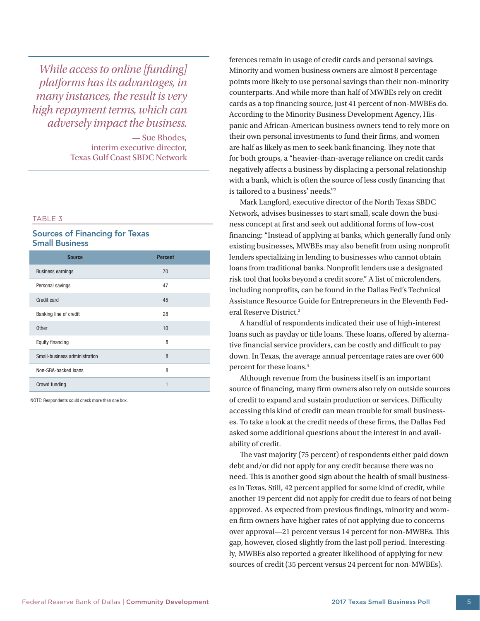*While access to online [funding] platforms has its advantages, in many instances, the result is very high repayment terms, which can adversely impact the business.* 

> — Sue Rhodes, interim executive director, Texas Gulf Coast SBDC Network

#### TABLE 3

# Sources of Financing for Texas Small Business

| <b>Source</b>                 | <b>Percent</b> |
|-------------------------------|----------------|
| <b>Business earnings</b>      | 70             |
| Personal savings              | 47             |
| Credit card                   | 45             |
| Banking line of credit        | 28             |
| <b>Other</b>                  | 10             |
| Equity financing              | 8              |
| Small-business administration | 8              |
| Non-SBA-backed loans          | 8              |
| Crowd funding                 | 1              |

NOTE: Respondents could check more than one box.

ferences remain in usage of credit cards and personal savings. Minority and women business owners are almost 8 percentage points more likely to use personal savings than their non-minority counterparts. And while more than half of MWBEs rely on credit cards as a top financing source, just 41 percent of non-MWBEs do. According to the Minority Business Development Agency, Hispanic and African-American business owners tend to rely more on their own personal investments to fund their firms, and women are half as likely as men to seek bank financing. They note that for both groups, a "heavier-than-average reliance on credit cards negatively affects a business by displacing a personal relationship with a bank, which is often the source of less costly financing that is tailored to a business' needs."2

Mark Langford, executive director of the North Texas SBDC Network, advises businesses to start small, scale down the business concept at first and seek out additional forms of low-cost financing: "Instead of applying at banks, which generally fund only existing businesses, MWBEs may also benefit from using nonprofit lenders specializing in lending to businesses who cannot obtain loans from traditional banks. Nonprofit lenders use a designated risk tool that looks beyond a credit score." A list of microlenders, including nonprofits, can be found in the Dallas Fed's Technical Assistance Resource Guide for Entrepreneurs in the Eleventh Federal Reserve District.3

A handful of respondents indicated their use of high-interest loans such as payday or title loans. These loans, offered by alternative financial service providers, can be costly and difficult to pay down. In Texas, the average annual percentage rates are over 600 percent for these loans.4

Although revenue from the business itself is an important source of financing, many firm owners also rely on outside sources of credit to expand and sustain production or services. Difficulty accessing this kind of credit can mean trouble for small businesses. To take a look at the credit needs of these firms, the Dallas Fed asked some additional questions about the interest in and availability of credit.

The vast majority (75 percent) of respondents either paid down debt and/or did not apply for any credit because there was no need. This is another good sign about the health of small businesses in Texas. Still, 42 percent applied for some kind of credit, while another 19 percent did not apply for credit due to fears of not being approved. As expected from previous findings, minority and women firm owners have higher rates of not applying due to concerns over approval—21 percent versus 14 percent for non-MWBEs. This gap, however, closed slightly from the last poll period. Interestingly, MWBEs also reported a greater likelihood of applying for new sources of credit (35 percent versus 24 percent for non-MWBEs).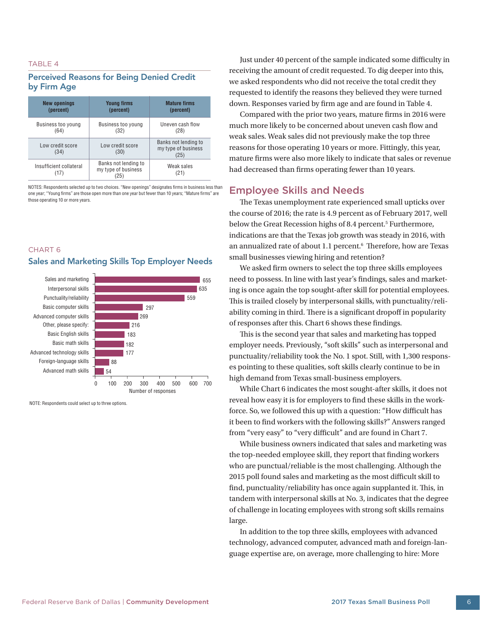#### TABLE 4

## Perceived Reasons for Being Denied Credit by Firm Age

| <b>New openings</b>             | <b>Young firms</b>                                | <b>Mature firms</b>                                 |  |
|---------------------------------|---------------------------------------------------|-----------------------------------------------------|--|
| (percent)                       | (percent)                                         | (percent)                                           |  |
| Business too young              | Business too young                                | Uneven cash flow                                    |  |
| (64)                            | (32)                                              | (28)                                                |  |
| Low credit score<br>(34)        | Low credit score<br>(30)                          | Banks not lending to<br>my type of business<br>(25) |  |
| Insufficient collateral<br>(17) | Banks not lending to<br>my type of business<br>25 | Weak sales<br>(21)                                  |  |

NOTES: Respondents selected up to two choices. "New openings" designates firms in business less than one year; "Young firms" are those open more than one year but fewer than 10 years; "Mature firms" are those operating 10 or more years.

#### CHART 6

#### Sales and Marketing Skills Top Employer Needs



NOTE: Respondents could select up to three options.

Just under 40 percent of the sample indicated some difficulty in receiving the amount of credit requested. To dig deeper into this, we asked respondents who did not receive the total credit they requested to identify the reasons they believed they were turned down. Responses varied by firm age and are found in Table 4.

Compared with the prior two years, mature firms in 2016 were much more likely to be concerned about uneven cash flow and weak sales. Weak sales did not previously make the top three reasons for those operating 10 years or more. Fittingly, this year, mature firms were also more likely to indicate that sales or revenue had decreased than firms operating fewer than 10 years.

# Employee Skills and Needs

The Texas unemployment rate experienced small upticks over the course of 2016; the rate is 4.9 percent as of February 2017, well below the Great Recession highs of 8.4 percent.<sup>5</sup> Furthermore, indications are that the Texas job growth was steady in 2016, with an annualized rate of about 1.1 percent.<sup>6</sup> Therefore, how are Texas small businesses viewing hiring and retention?

We asked firm owners to select the top three skills employees need to possess. In line with last year's findings, sales and marketing is once again the top sought-after skill for potential employees. This is trailed closely by interpersonal skills, with punctuality/reliability coming in third. There is a significant dropoff in popularity of responses after this. Chart 6 shows these findings.

This is the second year that sales and marketing has topped employer needs. Previously, "soft skills" such as interpersonal and punctuality/reliability took the No. 1 spot. Still, with 1,300 responses pointing to these qualities, soft skills clearly continue to be in high demand from Texas small-business employers.

While Chart 6 indicates the most sought-after skills, it does not reveal how easy it is for employers to find these skills in the workforce. So, we followed this up with a question: "How difficult has it been to find workers with the following skills?" Answers ranged from "very easy" to "very difficult" and are found in Chart 7.

While business owners indicated that sales and marketing was the top-needed employee skill, they report that finding workers who are punctual/reliable is the most challenging. Although the 2015 poll found sales and marketing as the most difficult skill to find, punctuality/reliability has once again supplanted it. This, in tandem with interpersonal skills at No. 3, indicates that the degree of challenge in locating employees with strong soft skills remains large.

In addition to the top three skills, employees with advanced technology, advanced computer, advanced math and foreign-language expertise are, on average, more challenging to hire: More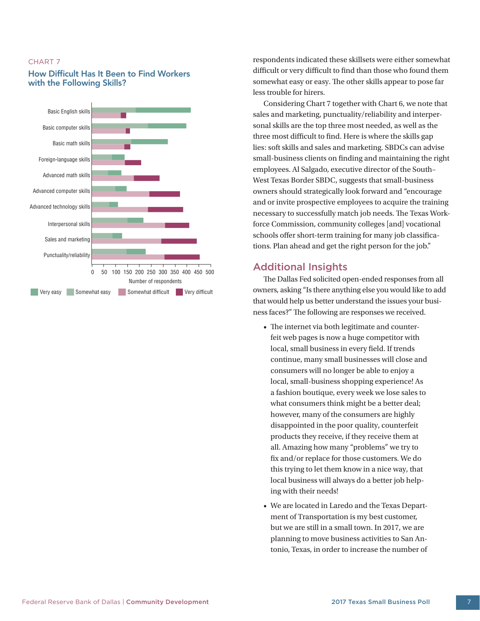#### CHART 7

# How Difficult Has It Been to Find Workers with the Following Skills?



respondents indicated these skillsets were either somewhat difficult or very difficult to find than those who found them somewhat easy or easy. The other skills appear to pose far less trouble for hirers.

Considering Chart 7 together with Chart 6, we note that sales and marketing, punctuality/reliability and interpersonal skills are the top three most needed, as well as the three most difficult to find. Here is where the skills gap lies: soft skills and sales and marketing. SBDCs can advise small-business clients on finding and maintaining the right employees. Al Salgado, executive director of the South– West Texas Border SBDC, suggests that small-business owners should strategically look forward and "encourage and or invite prospective employees to acquire the training necessary to successfully match job needs. The Texas Workforce Commission, community colleges [and] vocational schools offer short-term training for many job classifications. Plan ahead and get the right person for the job."

# Additional Insights

The Dallas Fed solicited open-ended responses from all owners, asking "Is there anything else you would like to add that would help us better understand the issues your business faces?" The following are responses we received.

- The internet via both legitimate and counterfeit web pages is now a huge competitor with local, small business in every field. If trends continue, many small businesses will close and consumers will no longer be able to enjoy a local, small-business shopping experience! As a fashion boutique, every week we lose sales to what consumers think might be a better deal; however, many of the consumers are highly disappointed in the poor quality, counterfeit products they receive, if they receive them at all. Amazing how many "problems" we try to fix and/or replace for those customers. We do this trying to let them know in a nice way, that local business will always do a better job helping with their needs!
- We are located in Laredo and the Texas Department of Transportation is my best customer, but we are still in a small town. In 2017, we are planning to move business activities to San Antonio, Texas, in order to increase the number of